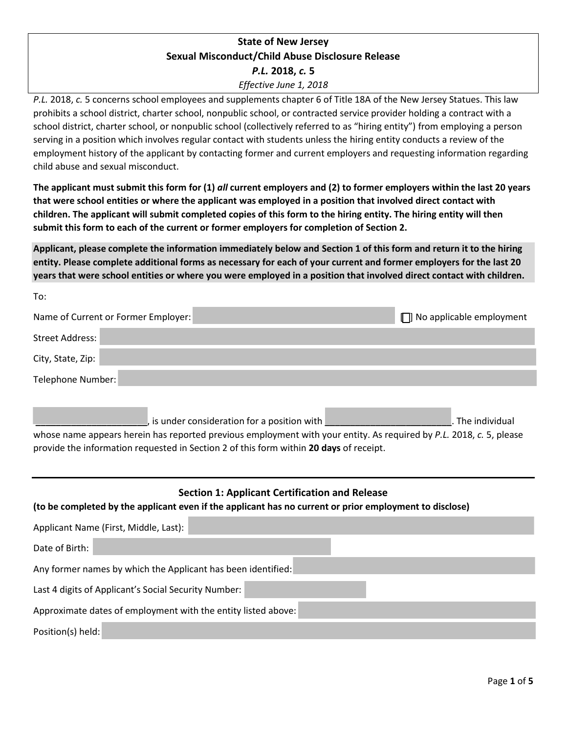# **State of New Jersey Sexual Misconduct/Child Abuse Disclosure Release**  *P.L.* **2018,** *c.* **5**

## *Effective June 1, 2018*

*P.L.* 2018, *c.* 5 concerns school employees and supplements chapter 6 of Title 18A of the New Jersey Statues. This law prohibits a school district, charter school, nonpublic school, or contracted service provider holding a contract with a school district, charter school, or nonpublic school (collectively referred to as "hiring entity") from employing a person serving in a position which involves regular contact with students unless the hiring entity conducts a review of the employment history of the applicant by contacting former and current employers and requesting information regarding child abuse and sexual misconduct.

**The applicant must submit this form for (1)** *all* **current employers and (2) to former employers within the last 20 years that were school entities or where the applicant was employed in a position that involved direct contact with children. The applicant will submit completed copies of this form to the hiring entity. The hiring entity will then submit this form to each of the current or former employers for completion of Section 2.** 

**Applicant, please complete the information immediately below and Section 1 of this form and return it to the hiring entity. Please complete additional forms as necessary for each of your current and former employers for the last 20 years that were school entities or where you were employed in a position that involved direct contact with children.**

 $T_{\alpha}$ 

| 1 U.                                |                          |
|-------------------------------------|--------------------------|
| Name of Current or Former Employer: | No applicable employment |
| Street Address:                     |                          |
| City, State, Zip:                   |                          |
| Telephone Number:                   |                          |
|                                     |                          |
|                                     |                          |

**Latter is under consideration for a position with <b>Latter and Constanting Constanting Constanting Constanting Constanting Constanting Constanting Constanting Constanting Constanting Constanting Constanting Constanting Con** whose name appears herein has reported previous employment with your entity. As required by *P.L.* 2018, *c.* 5, please provide the information requested in Section 2 of this form within **20 days** of receipt.

## **Section 1: Applicant Certification and Release**

## **(to be completed by the applicant even if the applicant has no current or prior employment to disclose)**

| Applicant Name (First, Middle, Last):                         |  |  |
|---------------------------------------------------------------|--|--|
| Date of Birth:                                                |  |  |
| Any former names by which the Applicant has been identified:  |  |  |
| Last 4 digits of Applicant's Social Security Number:          |  |  |
| Approximate dates of employment with the entity listed above: |  |  |
| Position(s) held:                                             |  |  |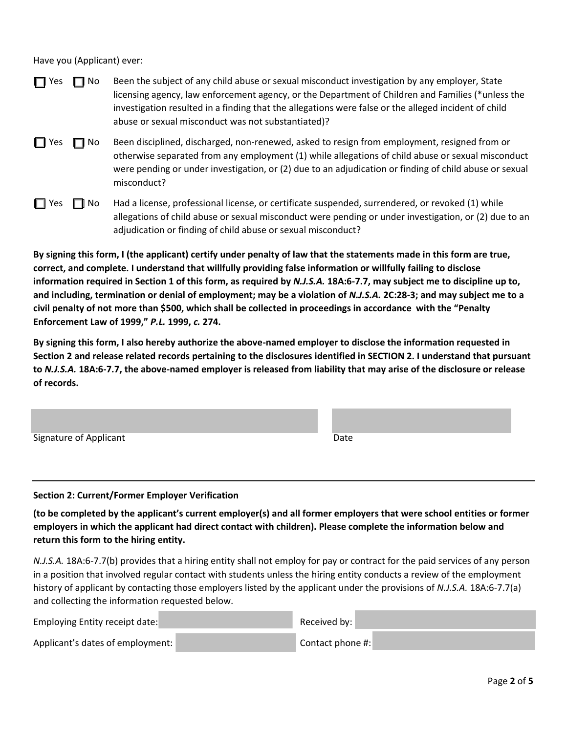Have you (Applicant) ever:

| $\Box$ Yes $\Box$ No | Been the subject of any child abuse or sexual misconduct investigation by any employer, State        |
|----------------------|------------------------------------------------------------------------------------------------------|
|                      | licensing agency, law enforcement agency, or the Department of Children and Families (*unless the    |
|                      | investigation resulted in a finding that the allegations were false or the alleged incident of child |
|                      | abuse or sexual misconduct was not substantiated)?                                                   |

**T** Yes **T** No Been disciplined, discharged, non-renewed, asked to resign from employment, resigned from or otherwise separated from any employment (1) while allegations of child abuse or sexual misconduct were pending or under investigation, or (2) due to an adjudication or finding of child abuse or sexual misconduct?

**T** Yes **I** No Had a license, professional license, or certificate suspended, surrendered, or revoked (1) while allegations of child abuse or sexual misconduct were pending or under investigation, or (2) due to an adjudication or finding of child abuse or sexual misconduct?

**By signing this form, I (the applicant) certify under penalty of law that the statements made in this form are true, correct, and complete. I understand that willfully providing false information or willfully failing to disclose information required in Section 1 of this form, as required by** *N.J.S.A.* **18A:6-7.7, may subject me to discipline up to, and including, termination or denial of employment; may be a violation of** *N.J.S.A.* **2C:28-3; and may subject me to a civil penalty of not more than \$500, which shall be collected in proceedings in accordance with the "Penalty Enforcement Law of 1999,"** *P.L.* **1999,** *c.* **274.** 

**By signing this form, I also hereby authorize the above-named employer to disclose the information requested in Section 2 and release related records pertaining to the disclosures identified in SECTION 2. I understand that pursuant to** *N.J.S.A.* **18A:6-7.7, the above-named employer is released from liability that may arise of the disclosure or release of records.** 

| <b>Signature of Applicant</b> | Date |
|-------------------------------|------|

**Section 2: Current/Former Employer Verification**

**(to be completed by the applicant's current employer(s) and all former employers that were school entities or former employers in which the applicant had direct contact with children). Please complete the information below and return this form to the hiring entity.** 

*N.J.S.A.* 18A:6-7.7(b) provides that a hiring entity shall not employ for pay or contract for the paid services of any person in a position that involved regular contact with students unless the hiring entity conducts a review of the employment history of applicant by contacting those employers listed by the applicant under the provisions of *N.J.S.A.* 18A:6-7.7(a) and collecting the information requested below.

| Employing Entity receipt date:   | Received by:     |
|----------------------------------|------------------|
| Applicant's dates of employment: | Contact phone #: |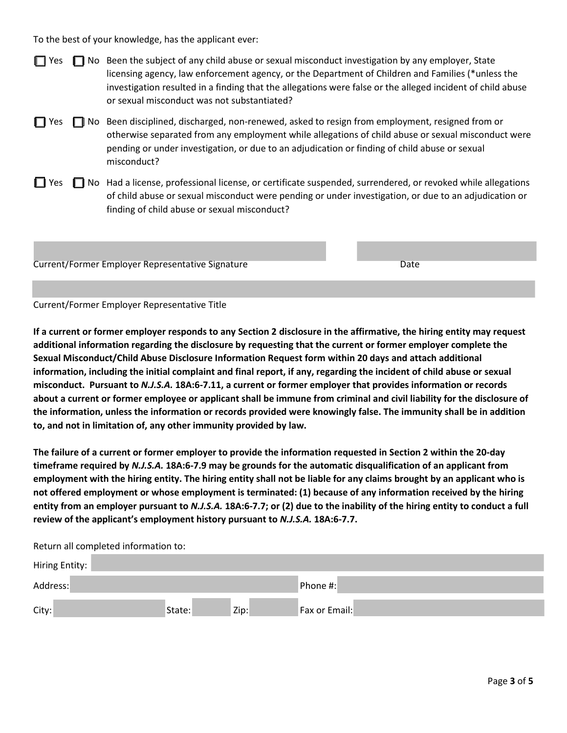To the best of your knowledge, has the applicant ever:

 $\Box$  Yes  $\Box$  No Been the subject of any child abuse or sexual misconduct investigation by any employer, State licensing agency, law enforcement agency, or the Department of Children and Families (\*unless the investigation resulted in a finding that the allegations were false or the alleged incident of child abuse or sexual misconduct was not substantiated)?

 $\Box$  Yes  $\Box$  No Been disciplined, discharged, non-renewed, asked to resign from employment, resigned from or otherwise separated from any employment while allegations of child abuse or sexual misconduct were pending or under investigation, or due to an adjudication or finding of child abuse or sexual misconduct?

 $\Box$  Yes  $\Box$  No Had a license, professional license, or certificate suspended, surrendered, or revoked while allegations of child abuse or sexual misconduct were pending or under investigation, or due to an adjudication or finding of child abuse or sexual misconduct?

| Current/Former Employer Representative Signature | Date |
|--------------------------------------------------|------|

#### Current/Former Employer Representative Title

**If a current or former employer responds to any Section 2 disclosure in the affirmative, the hiring entity may request additional information regarding the disclosure by requesting that the current or former employer complete the Sexual Misconduct/Child Abuse Disclosure Information Request form within 20 days and attach additional information, including the initial complaint and final report, if any, regarding the incident of child abuse or sexual misconduct. Pursuant to** *N.J.S.A.* **18A:6-7.11, a current or former employer that provides information or records about a current or former employee or applicant shall be immune from criminal and civil liability for the disclosure of the information, unless the information or records provided were knowingly false. The immunity shall be in addition to, and not in limitation of, any other immunity provided by law.** 

**The failure of a current or former employer to provide the information requested in Section 2 within the 20-day timeframe required by** *N.J.S.A.* **18A:6-7.9 may be grounds for the automatic disqualification of an applicant from employment with the hiring entity. The hiring entity shall not be liable for any claims brought by an applicant who is not offered employment or whose employment is terminated: (1) because of any information received by the hiring entity from an employer pursuant to** *N.J.S.A.* **18A:6-7.7; or (2) due to the inability of the hiring entity to conduct a full review of the applicant's employment history pursuant to** *N.J.S.A.* **18A:6-7.7.** 

Return all completed information to:

| Hiring Entity: |               |      |               |  |
|----------------|---------------|------|---------------|--|
| Address:       |               |      | Phone #:      |  |
| City: Audubon  | <b>State:</b> | Zip: | Fax or Email: |  |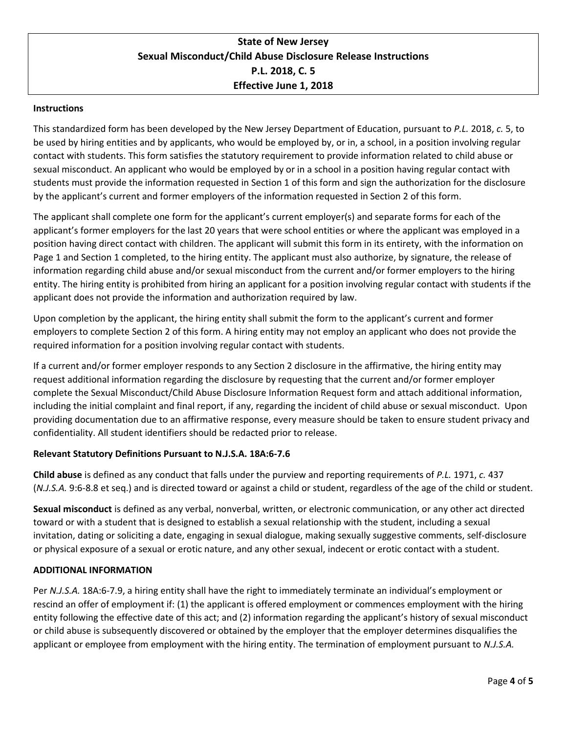# **State of New Jersey Sexual Misconduct/Child Abuse Disclosure Release Instructions P.L. 2018, C. 5 Effective June 1, 2018**

#### **Instructions**

This standardized form has been developed by the New Jersey Department of Education, pursuant to *P.L.* 2018, *c.* 5, to be used by hiring entities and by applicants, who would be employed by, or in, a school, in a position involving regular contact with students. This form satisfies the statutory requirement to provide information related to child abuse or sexual misconduct. An applicant who would be employed by or in a school in a position having regular contact with students must provide the information requested in Section 1 of this form and sign the authorization for the disclosure by the applicant's current and former employers of the information requested in Section 2 of this form.

The applicant shall complete one form for the applicant's current employer(s) and separate forms for each of the applicant's former employers for the last 20 years that were school entities or where the applicant was employed in a position having direct contact with children. The applicant will submit this form in its entirety, with the information on Page 1 and Section 1 completed, to the hiring entity. The applicant must also authorize, by signature, the release of information regarding child abuse and/or sexual misconduct from the current and/or former employers to the hiring entity. The hiring entity is prohibited from hiring an applicant for a position involving regular contact with students if the applicant does not provide the information and authorization required by law.

Upon completion by the applicant, the hiring entity shall submit the form to the applicant's current and former employers to complete Section 2 of this form. A hiring entity may not employ an applicant who does not provide the required information for a position involving regular contact with students.

If a current and/or former employer responds to any Section 2 disclosure in the affirmative, the hiring entity may request additional information regarding the disclosure by requesting that the current and/or former employer complete the Sexual Misconduct/Child Abuse Disclosure Information Request form and attach additional information, including the initial complaint and final report, if any, regarding the incident of child abuse or sexual misconduct. Upon providing documentation due to an affirmative response, every measure should be taken to ensure student privacy and confidentiality. All student identifiers should be redacted prior to release.

## **Relevant Statutory Definitions Pursuant to N.J.S.A. 18A:6-7.6**

**Child abuse** is defined as any conduct that falls under the purview and reporting requirements of *P.L.* 1971, *c.* 437 (*N.J.S.A.* 9:6-8.8 et seq.) and is directed toward or against a child or student, regardless of the age of the child or student.

**Sexual misconduct** is defined as any verbal, nonverbal, written, or electronic communication, or any other act directed toward or with a student that is designed to establish a sexual relationship with the student, including a sexual invitation, dating or soliciting a date, engaging in sexual dialogue, making sexually suggestive comments, self-disclosure or physical exposure of a sexual or erotic nature, and any other sexual, indecent or erotic contact with a student.

## **ADDITIONAL INFORMATION**

Per *N.J.S.A.* 18A:6-7.9, a hiring entity shall have the right to immediately terminate an individual's employment or rescind an offer of employment if: (1) the applicant is offered employment or commences employment with the hiring entity following the effective date of this act; and (2) information regarding the applicant's history of sexual misconduct or child abuse is subsequently discovered or obtained by the employer that the employer determines disqualifies the applicant or employee from employment with the hiring entity. The termination of employment pursuant to *N.J.S.A.*